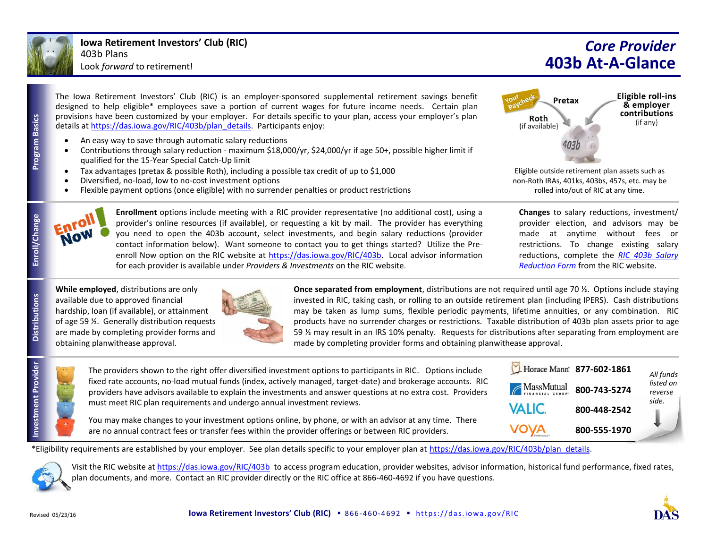

**Program Basics**

**Program Basics** 

**Distributions**

**Investment Provider**

ment Provider

## *Core Provider* **403b At-A-Glance**

**Eligible roll-ins** 

& employer contributions

(if any)

The Iowa Retirement Investors' Club (RIC) is an employer-sponsored supplemental retirement savings benefit designed to help eligible\* employees save a portion of current wages for future income needs. Certain plan provisions have been customized by your employer. For details specific to your plan, access your employer's plan details a[t https://das.iowa.gov/RIC/403b/plan\\_details.](https://das.iowa.gov/RIC/403b/plan_details) Participants enjoy:

- An easy way to save through automatic salary reductions
- Contributions through salary reduction maximum \$18,000/yr, \$24,000/yr if age 50+, possible higher limit if qualified for the 15-Year Special Catch-Up limit
- Tax advantages (pretax & possible Roth), including a possible tax credit of up to \$1,000
- Diversified, no-load, low to no-cost investment options
- Flexible payment options (once eligible) with no surrender penalties or product restrictions



**Enrollment** options include meeting with a RIC provider representative (no additional cost), using a provider's online resources (if available), or requesting a kit by mail. The provider has everything you need to open the 403b account, select investments, and begin salary reductions (provider contact information below). Want someone to contact you to get things started? Utilize the Preenroll Now option on the RIC website at [https://das.iowa.gov/RIC/403b.](https://das.iowa.gov/RIC/403b) Local advisor information for each provider is available under *Providers & Investments* on the RIC website.

Eligible outside retirement plan assets such as non-Roth IRAs, 401ks, 403bs, 457s, etc. may be rolled into/out of RIC at any time.

Pretax

Roth

(if available)

**Changes** to salary reductions, investment/ provider election, and advisors may be made at anytime without fees or restrictions. To change existing salary reductions, complete the *[RIC 403b Salary](https://das.iowa.gov/RIC/403b/documents)  [Reduction Form](https://das.iowa.gov/RIC/403b/documents)* from the RIC website.

**While employed**, distributions are only available due to approved financial hardship, loan (if available), or attainment of age 59 ½. Generally distribution requests are made by completing provider forms and obtaining planwithease approval.



**Once separated from employment**, distributions are not required until age 70 ½. Options include staying invested in RIC, taking cash, or rolling to an outside retirement plan (including IPERS). Cash distributions may be taken as lump sums, flexible periodic payments, lifetime annuities, or any combination. RIC products have no surrender charges or restrictions. Taxable distribution of 403b plan assets prior to age 59 ½ may result in an IRS 10% penalty. Requests for distributions after separating from employment are made by completing provider forms and obtaining planwithease approval.

| The providers shown to the right offer diversified investment options to participants in RIC. Options include                                                                                                                 | Horace Mann 877-602-1861        |              | All funds            |
|-------------------------------------------------------------------------------------------------------------------------------------------------------------------------------------------------------------------------------|---------------------------------|--------------|----------------------|
| fixed rate accounts, no-load mutual funds (index, actively managed, target-date) and brokerage accounts. RIC<br>providers have advisors available to explain the investments and answer questions at no extra cost. Providers | <b>AlassMutual</b> 800-743-5274 |              | listed on<br>reverse |
| must meet RIC plan requirements and undergo annual investment reviews.                                                                                                                                                        | <b>VALIC</b>                    | 800-448-2542 | side.                |
| You may make changes to your investment options online, by phone, or with an advisor at any time. There<br>are no annual contract fees or transfer fees within the provider offerings or between RIC providers.               | <b>VOVA</b>                     | 800-555-1970 |                      |

\*Eligibility requirements are established by your employer. See plan details specific to your employer plan at [https://das.iowa.gov/RIC/403b/plan\\_details.](https://das.iowa.gov/RIC/403b/plan_details)



Visit the RIC website at<https://das.iowa.gov/RIC/403b> to access program education, provider websites, advisor information, historical fund performance, fixed rates, plan documents, and more. Contact an RIC provider directly or the RIC office at 866-460-4692 if you have questions.